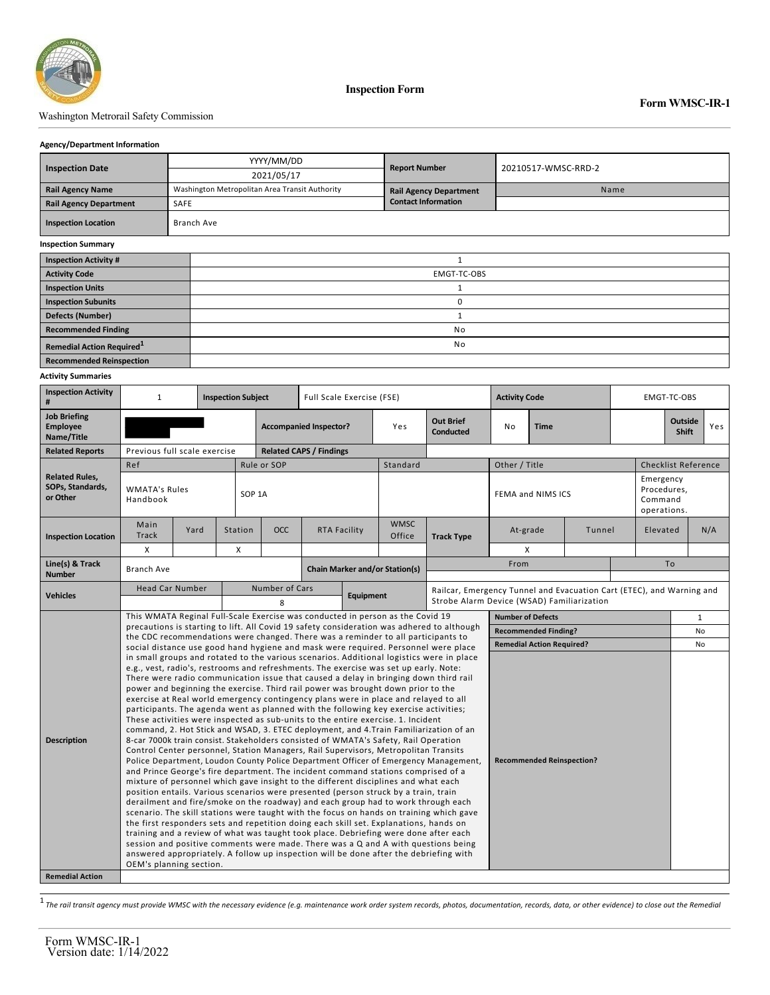

**Inspection Form**

### Washington Metrorail Safety Commission

#### **Agency/Department Information**

| <b>Inspection Date</b>                |            | YYYY/MM/DD                                     | <b>Report Number</b>          | 20210517-WMSC-RRD-2 |  |  |  |  |  |
|---------------------------------------|------------|------------------------------------------------|-------------------------------|---------------------|--|--|--|--|--|
|                                       |            | 2021/05/17                                     |                               |                     |  |  |  |  |  |
| <b>Rail Agency Name</b>               |            | Washington Metropolitan Area Transit Authority | <b>Rail Agency Department</b> | Name                |  |  |  |  |  |
| <b>Rail Agency Department</b>         | SAFE       |                                                | <b>Contact Information</b>    |                     |  |  |  |  |  |
| <b>Inspection Location</b>            | Branch Ave |                                                |                               |                     |  |  |  |  |  |
| <b>Inspection Summary</b>             |            |                                                |                               |                     |  |  |  |  |  |
| <b>Inspection Activity #</b>          |            | $\mathbf{1}$                                   |                               |                     |  |  |  |  |  |
| <b>Activity Code</b>                  |            | EMGT-TC-OBS                                    |                               |                     |  |  |  |  |  |
| <b>Inspection Units</b>               |            |                                                |                               |                     |  |  |  |  |  |
| <b>Inspection Subunits</b>            |            | 0                                              |                               |                     |  |  |  |  |  |
| <b>Defects (Number)</b>               |            |                                                |                               |                     |  |  |  |  |  |
| <b>Recommended Finding</b>            |            |                                                |                               |                     |  |  |  |  |  |
| Remedial Action Required <sup>1</sup> |            | No                                             |                               |                     |  |  |  |  |  |
| <b>Recommended Reinspection</b>       |            |                                                |                               |                     |  |  |  |  |  |

#### **Activity Summaries**

| <b>Inspection Activity</b><br>#                       | $\mathbf{1}$<br><b>Inspection Subject</b>                                                                                                                                       |      |                | Full Scale Exercise (FSE)             |                                                                                                                                                                                                                                                                                                                                                                                                                                                                                                                                                                                                                                                                                                                                                                                                                                                                                                                                                                                                                                                                                                                                                                                                                                                                                                                                                                                                                                                                                                                                                                                                                                                                                                                                                                                                                                                      |  |                       | <b>Activity Code</b>                                                  |                                            |                             | EMGT-TC-OBS |                                |                                                    |     |           |  |
|-------------------------------------------------------|---------------------------------------------------------------------------------------------------------------------------------------------------------------------------------|------|----------------|---------------------------------------|------------------------------------------------------------------------------------------------------------------------------------------------------------------------------------------------------------------------------------------------------------------------------------------------------------------------------------------------------------------------------------------------------------------------------------------------------------------------------------------------------------------------------------------------------------------------------------------------------------------------------------------------------------------------------------------------------------------------------------------------------------------------------------------------------------------------------------------------------------------------------------------------------------------------------------------------------------------------------------------------------------------------------------------------------------------------------------------------------------------------------------------------------------------------------------------------------------------------------------------------------------------------------------------------------------------------------------------------------------------------------------------------------------------------------------------------------------------------------------------------------------------------------------------------------------------------------------------------------------------------------------------------------------------------------------------------------------------------------------------------------------------------------------------------------------------------------------------------------|--|-----------------------|-----------------------------------------------------------------------|--------------------------------------------|-----------------------------|-------------|--------------------------------|----------------------------------------------------|-----|-----------|--|
| <b>Job Briefing</b><br><b>Employee</b><br>Name/Title  |                                                                                                                                                                                 |      |                | <b>Accompanied Inspector?</b>         |                                                                                                                                                                                                                                                                                                                                                                                                                                                                                                                                                                                                                                                                                                                                                                                                                                                                                                                                                                                                                                                                                                                                                                                                                                                                                                                                                                                                                                                                                                                                                                                                                                                                                                                                                                                                                                                      |  | Yes                   | <b>Out Brief</b><br><b>Conducted</b>                                  | No<br><b>Time</b>                          |                             |             | <b>Outside</b><br><b>Shift</b> |                                                    | Yes |           |  |
| <b>Related Reports</b>                                | Previous full scale exercise                                                                                                                                                    |      |                |                                       | <b>Related CAPS / Findings</b>                                                                                                                                                                                                                                                                                                                                                                                                                                                                                                                                                                                                                                                                                                                                                                                                                                                                                                                                                                                                                                                                                                                                                                                                                                                                                                                                                                                                                                                                                                                                                                                                                                                                                                                                                                                                                       |  |                       |                                                                       |                                            |                             |             |                                |                                                    |     |           |  |
|                                                       | Ref                                                                                                                                                                             |      | Rule or SOP    |                                       |                                                                                                                                                                                                                                                                                                                                                                                                                                                                                                                                                                                                                                                                                                                                                                                                                                                                                                                                                                                                                                                                                                                                                                                                                                                                                                                                                                                                                                                                                                                                                                                                                                                                                                                                                                                                                                                      |  | Standard              |                                                                       | Other / Title                              |                             |             |                                | <b>Checklist Reference</b>                         |     |           |  |
| <b>Related Rules.</b><br>SOPs, Standards,<br>or Other | <b>WMATA's Rules</b><br>Handbook                                                                                                                                                |      |                | SOP <sub>1A</sub>                     |                                                                                                                                                                                                                                                                                                                                                                                                                                                                                                                                                                                                                                                                                                                                                                                                                                                                                                                                                                                                                                                                                                                                                                                                                                                                                                                                                                                                                                                                                                                                                                                                                                                                                                                                                                                                                                                      |  |                       |                                                                       | FEMA and NIMS ICS                          |                             |             |                                | Emergency<br>Procedures,<br>Command<br>operations. |     |           |  |
| <b>Inspection Location</b>                            | Main<br><b>Track</b>                                                                                                                                                            | Yard | Station        | <b>OCC</b>                            | <b>RTA Facility</b>                                                                                                                                                                                                                                                                                                                                                                                                                                                                                                                                                                                                                                                                                                                                                                                                                                                                                                                                                                                                                                                                                                                                                                                                                                                                                                                                                                                                                                                                                                                                                                                                                                                                                                                                                                                                                                  |  | <b>WMSC</b><br>Office | <b>Track Type</b>                                                     |                                            | At-grade<br>Tunnel          |             |                                | Elevated                                           | N/A |           |  |
|                                                       | X                                                                                                                                                                               |      | X              |                                       |                                                                                                                                                                                                                                                                                                                                                                                                                                                                                                                                                                                                                                                                                                                                                                                                                                                                                                                                                                                                                                                                                                                                                                                                                                                                                                                                                                                                                                                                                                                                                                                                                                                                                                                                                                                                                                                      |  |                       |                                                                       | X                                          |                             |             |                                |                                                    |     |           |  |
| Line(s) & Track<br><b>Number</b>                      | <b>Branch Ave</b>                                                                                                                                                               |      |                | <b>Chain Marker and/or Station(s)</b> |                                                                                                                                                                                                                                                                                                                                                                                                                                                                                                                                                                                                                                                                                                                                                                                                                                                                                                                                                                                                                                                                                                                                                                                                                                                                                                                                                                                                                                                                                                                                                                                                                                                                                                                                                                                                                                                      |  |                       |                                                                       | From                                       |                             |             |                                |                                                    | To  |           |  |
| <b>Vehicles</b>                                       | <b>Head Car Number</b>                                                                                                                                                          |      | Number of Cars |                                       |                                                                                                                                                                                                                                                                                                                                                                                                                                                                                                                                                                                                                                                                                                                                                                                                                                                                                                                                                                                                                                                                                                                                                                                                                                                                                                                                                                                                                                                                                                                                                                                                                                                                                                                                                                                                                                                      |  |                       | Railcar, Emergency Tunnel and Evacuation Cart (ETEC), and Warning and |                                            |                             |             |                                |                                                    |     |           |  |
|                                                       |                                                                                                                                                                                 |      |                | 8                                     |                                                                                                                                                                                                                                                                                                                                                                                                                                                                                                                                                                                                                                                                                                                                                                                                                                                                                                                                                                                                                                                                                                                                                                                                                                                                                                                                                                                                                                                                                                                                                                                                                                                                                                                                                                                                                                                      |  | Equipment             |                                                                       | Strobe Alarm Device (WSAD) Familiarization |                             |             |                                |                                                    |     |           |  |
|                                                       | This WMATA Reginal Full-Scale Exercise was conducted in person as the Covid 19                                                                                                  |      |                |                                       |                                                                                                                                                                                                                                                                                                                                                                                                                                                                                                                                                                                                                                                                                                                                                                                                                                                                                                                                                                                                                                                                                                                                                                                                                                                                                                                                                                                                                                                                                                                                                                                                                                                                                                                                                                                                                                                      |  |                       | <b>Number of Defects</b><br>$\mathbf{1}$                              |                                            |                             |             |                                |                                                    |     |           |  |
|                                                       | precautions is starting to lift. All Covid 19 safety consideration was adhered to although<br>the CDC recommendations were changed. There was a reminder to all participants to |      |                |                                       |                                                                                                                                                                                                                                                                                                                                                                                                                                                                                                                                                                                                                                                                                                                                                                                                                                                                                                                                                                                                                                                                                                                                                                                                                                                                                                                                                                                                                                                                                                                                                                                                                                                                                                                                                                                                                                                      |  |                       |                                                                       |                                            | <b>Recommended Finding?</b> |             |                                |                                                    |     | <b>No</b> |  |
|                                                       | social distance use good hand hygiene and mask were required. Personnel were place                                                                                              |      |                |                                       |                                                                                                                                                                                                                                                                                                                                                                                                                                                                                                                                                                                                                                                                                                                                                                                                                                                                                                                                                                                                                                                                                                                                                                                                                                                                                                                                                                                                                                                                                                                                                                                                                                                                                                                                                                                                                                                      |  |                       | <b>Remedial Action Required?</b>                                      |                                            |                             |             |                                | No                                                 |     |           |  |
| <b>Description</b><br><b>Remedial Action</b>          | OEM's planning section.                                                                                                                                                         |      |                |                                       | in small groups and rotated to the various scenarios. Additional logistics were in place<br>e.g., vest, radio's, restrooms and refreshments. The exercise was set up early. Note:<br>There were radio communication issue that caused a delay in bringing down third rail<br>power and beginning the exercise. Third rail power was brought down prior to the<br>exercise at Real world emergency contingency plans were in place and relayed to all<br>participants. The agenda went as planned with the following key exercise activities;<br>These activities were inspected as sub-units to the entire exercise. 1. Incident<br>command, 2. Hot Stick and WSAD, 3. ETEC deployment, and 4. Train Familiarization of an<br>8-car 7000k train consist. Stakeholders consisted of WMATA's Safety, Rail Operation<br>Control Center personnel, Station Managers, Rail Supervisors, Metropolitan Transits<br>Police Department, Loudon County Police Department Officer of Emergency Management,<br><b>Recommended Reinspection?</b><br>and Prince George's fire department. The incident command stations comprised of a<br>mixture of personnel which gave insight to the different disciplines and what each<br>position entails. Various scenarios were presented (person struck by a train, train<br>derailment and fire/smoke on the roadway) and each group had to work through each<br>scenario. The skill stations were taught with the focus on hands on training which gave<br>the first responders sets and repetition doing each skill set. Explanations, hands on<br>training and a review of what was taught took place. Debriefing were done after each<br>session and positive comments were made. There was a Q and A with questions being<br>answered appropriately. A follow up inspection will be done after the debriefing with |  |                       |                                                                       |                                            |                             |             |                                |                                                    |     |           |  |

1 *The rail transit agency must provide WMSC with the necessary evidence (e.g. maintenance work order system records, photos, documentation, records, data, or other evidence) to close out the Remedial*